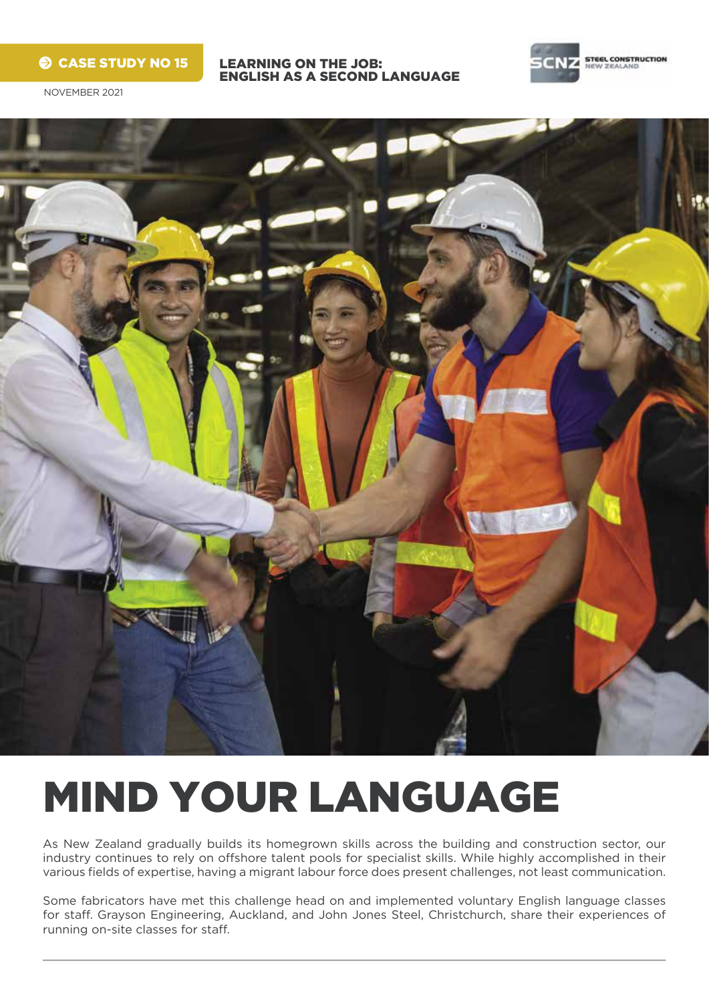## $\odot$  CASE STUDY NO 15

LEARNING ON THE JOB: ENGLISH AS A SECOND LANGUAGE



NOVEMBER 2021



# MIND YOUR LANGUAGE

As New Zealand gradually builds its homegrown skills across the building and construction sector, our industry continues to rely on offshore talent pools for specialist skills. While highly accomplished in their various fields of expertise, having a migrant labour force does present challenges, not least communication.

Some fabricators have met this challenge head on and implemented voluntary English language classes for staff. Grayson Engineering, Auckland, and John Jones Steel, Christchurch, share their experiences of running on-site classes for staff.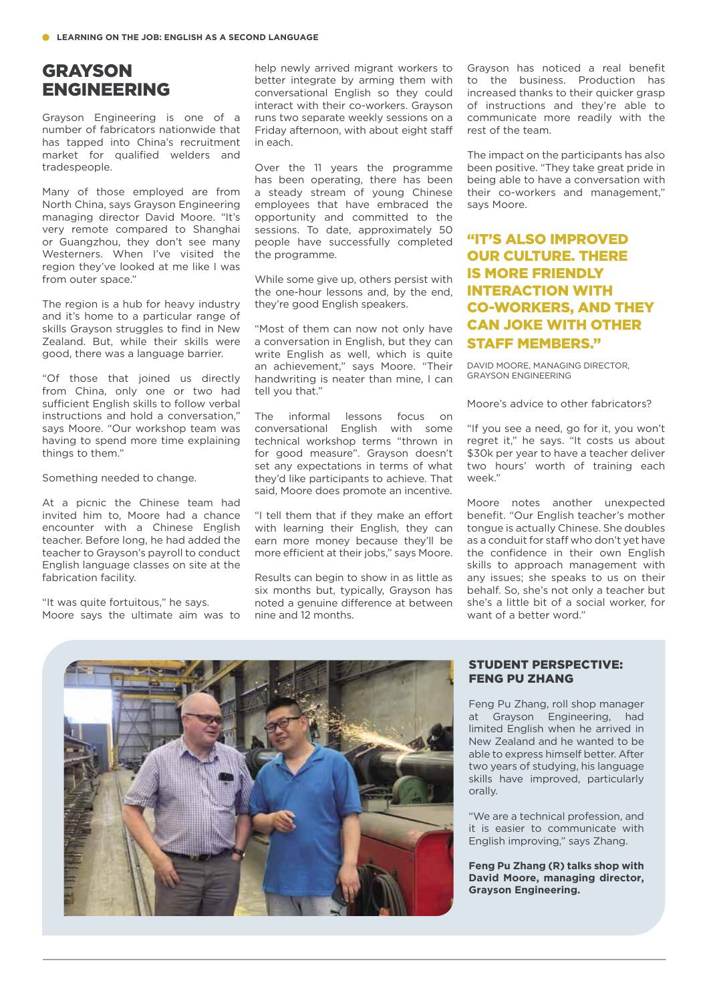# **GRAYSON** ENGINEERING

Grayson Engineering is one of a number of fabricators nationwide that has tapped into China's recruitment market for qualified welders and tradespeople.

Many of those employed are from North China, says Grayson Engineering managing director David Moore. "It's very remote compared to Shanghai or Guangzhou, they don't see many Westerners. When I've visited the region they've looked at me like I was from outer space."

The region is a hub for heavy industry and it's home to a particular range of skills Grayson struggles to find in New Zealand. But, while their skills were good, there was a language barrier.

"Of those that joined us directly from China, only one or two had sufficient English skills to follow verbal instructions and hold a conversation," says Moore. "Our workshop team was having to spend more time explaining things to them."

Something needed to change.

At a picnic the Chinese team had invited him to, Moore had a chance encounter with a Chinese English teacher. Before long, he had added the teacher to Grayson's payroll to conduct English language classes on site at the fabrication facility.

"It was quite fortuitous," he says. Moore says the ultimate aim was to help newly arrived migrant workers to better integrate by arming them with conversational English so they could interact with their co-workers. Grayson runs two separate weekly sessions on a Friday afternoon, with about eight staff in each.

Over the 11 years the programme has been operating, there has been a steady stream of young Chinese employees that have embraced the opportunity and committed to the sessions. To date, approximately 50 people have successfully completed the programme.

While some give up, others persist with the one-hour lessons and, by the end, they're good English speakers.

"Most of them can now not only have a conversation in English, but they can write English as well, which is quite an achievement," says Moore. "Their handwriting is neater than mine, I can tell you that."

The informal lessons focus on conversational English with some technical workshop terms "thrown in for good measure". Grayson doesn't set any expectations in terms of what they'd like participants to achieve. That said, Moore does promote an incentive.

"I tell them that if they make an effort with learning their English, they can earn more money because they'll be more efficient at their jobs," says Moore.

Results can begin to show in as little as six months but, typically, Grayson has noted a genuine difference at between nine and 12 months.

Grayson has noticed a real benefit to the business. Production has increased thanks to their quicker grasp of instructions and they're able to communicate more readily with the rest of the team.

The impact on the participants has also been positive. "They take great pride in being able to have a conversation with their co-workers and management," says Moore.

## "IT'S ALSO IMPROVED OUR CULTURE. THERE IS MORE FRIENDLY INTERACTION WITH CO-WORKERS, AND THEY CAN JOKE WITH OTHER STAFF MEMBERS."

DAVID MOORE, MANAGING DIRECTOR, GRAYSON ENGINEERING

Moore's advice to other fabricators?

"If you see a need, go for it, you won't regret it," he says. "It costs us about \$30k per year to have a teacher deliver two hours' worth of training each week."

Moore notes another unexpected benefit. "Our English teacher's mother tongue is actually Chinese. She doubles as a conduit for staff who don't yet have the confidence in their own English skills to approach management with any issues; she speaks to us on their behalf. So, she's not only a teacher but she's a little bit of a social worker, for want of a better word."



#### STUDENT PERSPECTIVE: FENG PU ZHANG

Feng Pu Zhang, roll shop manager at Grayson Engineering, had limited English when he arrived in New Zealand and he wanted to be able to express himself better. After two years of studying, his language skills have improved, particularly orally.

"We are a technical profession, and it is easier to communicate with English improving," says Zhang.

**Feng Pu Zhang (R) talks shop with David Moore, managing director, Grayson Engineering.**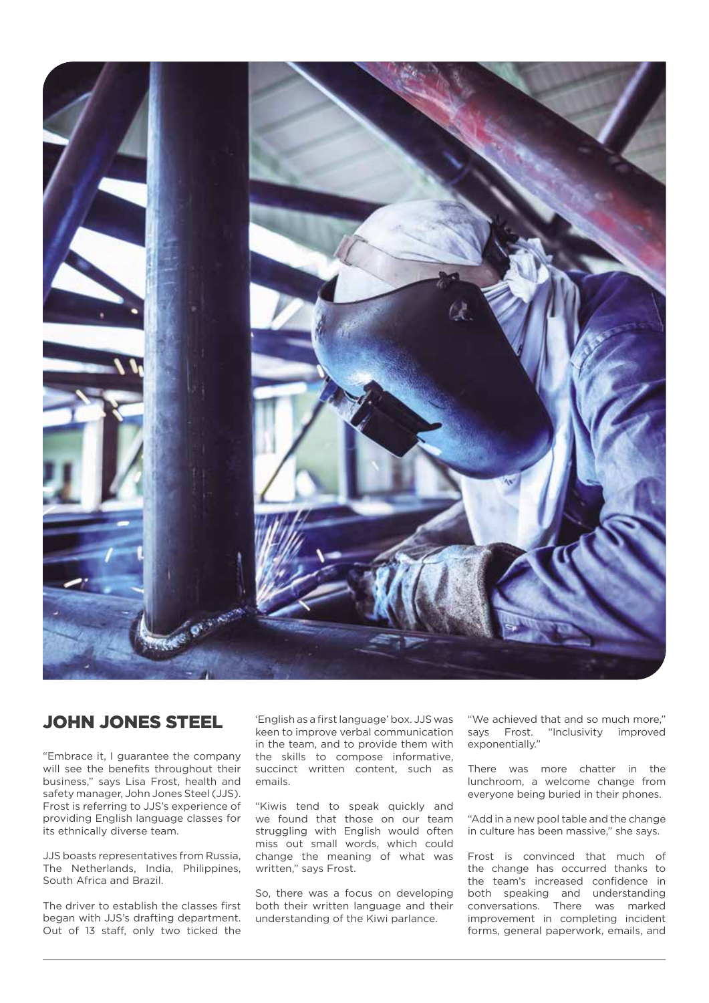

## JOHN JONES STEEL

"Embrace it, I guarantee the company will see the benefits throughout their business," says Lisa Frost, health and safety manager, John Jones Steel (JJS). Frost is referring to JJS's experience of providing English language classes for its ethnically diverse team.

JJS boasts representatives from Russia, The Netherlands, India, Philippines, South Africa and Brazil.

The driver to establish the classes first began with JJS's drafting department. Out of 13 staff, only two ticked the

'English as a first language' box. JJS was keen to improve verbal communication in the team, and to provide them with the skills to compose informative, succinct written content, such as emails.

"Kiwis tend to speak quickly and we found that those on our team struggling with English would often miss out small words, which could change the meaning of what was written," says Frost.

So, there was a focus on developing both their written language and their understanding of the Kiwi parlance.

"We achieved that and so much more," says Frost. "Inclusivity improved exponentially."

There was more chatter in the lunchroom, a welcome change from everyone being buried in their phones.

"Add in a new pool table and the change in culture has been massive," she says.

Frost is convinced that much of the change has occurred thanks to the team's increased confidence in both speaking and understanding conversations. There was marked improvement in completing incident forms, general paperwork, emails, and